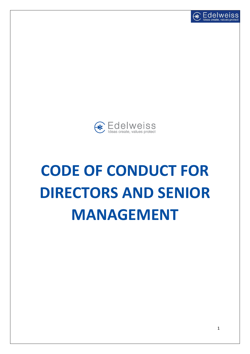



# **CODE OF CONDUCT FOR DIRECTORS AND SENIOR MANAGEMENT**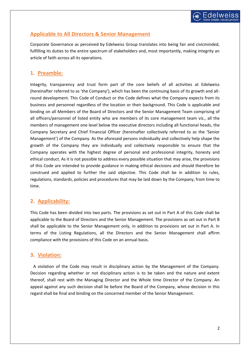

## **Applicable to All Directors & Senior Management**

Corporate Governance as perceived by Edelweiss Group translates into being fair and civicminded, fulfilling its duties to the entire spectrum of stakeholders and, most importantly, making integrity an article of faith across all its operations.

# **1. Preamble:**

Integrity, transparency and trust form part of the core beliefs of all activities at Edelweiss (hereinafter referred to as 'the Company'), which has been the continuing basis of its growth and allround development. This Code of Conduct or the Code defines what the Company expects from its business and personnel regardless of the location or their background. This Code is applicable and binding on all Members of the Board of Directors and the Senior Management Team comprising of all officers/personnel of listed entity who are members of its core management team viz., all the members of management one level below the executive directors including all functional heads, the Company Secretary and Chief Financial Officer (hereinafter collectively referred to as the 'Senior Management') of the Company. As the aforesaid persons individually and collectively help shape the growth of the Company they are individually and collectively responsible to ensure that the Company operates with the highest degree of personal and professional integrity, honesty and ethical conduct. As it is not possible to address every possible situation that may arise, the provisions of this Code are intended to provide guidance in making ethical decisions and should therefore be construed and applied to further the said objective. This Code shall be in addition to rules, regulations, standards, policies and procedures that may be laid down by the Company, from time to time.

# **2. Applicability:**

This Code has been divided into two parts. The provisions as set out in Part A of this Code shall be applicable to the Board of Directors and the Senior Management. The provisions as set out in Part B shall be applicable to the Senior Management only, in addition to provisions set out in Part A. In terms of the Listing Regulations, all the Directors and the Senior Management shall affirm compliance with the provisions of this Code on an annual basis.

## **3. Violation:**

 A violation of the Code may result in disciplinary action by the Management of the Company. Decision regarding whether or not disciplinary action is to be taken and the nature and extent thereof, shall rest with the Managing Director and the Whole time Director of the Company. An appeal against any such decision shall lie before the Board of the Company, whose decision in this regard shall be final and binding on the concerned member of the Senior Management.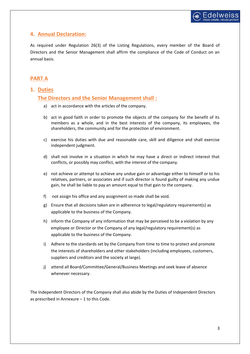# **4. Annual Declaration:**

As required under Regulation 26(3) of the Listing Regulations, every member of the Board of Directors and the Senior Management shall affirm the compliance of the Code of Conduct on an annual basis.

# **PART A**

## **1. Duties**

## **The Directors and the Senior Management shall :**

- a) act in accordance with the articles of the company.
- b) act in good faith in order to promote the objects of the company for the benefit of its members as a whole, and in the best interests of the company, its employees, the shareholders, the community and for the protection of environment.
- c) exercise his duties with due and reasonable care, skill and diligence and shall exercise independent judgment.
- d) shall not involve in a situation in which he may have a direct or indirect interest that conflicts, or possibly may conflict, with the interest of the company.
- e) not achieve or attempt to achieve any undue gain or advantage either to himself or to his relatives, partners, or associates and if such director is found guilty of making any undue gain, he shall be liable to pay an amount equal to that gain to the company.
- f) not assign his office and any assignment so made shall be void.
- g) Ensure that all decisions taken are in adherence to legal/regulatory requirement(s) as applicable to the business of the Company.
- h) inform the Company of any information that may be perceived to be a violation by any employee or Director or the Company of any legal/regulatory requirement(s) as applicable to the business of the Company.
- i) Adhere to the standards set by the Company from time to time to protect and promote the interests of shareholders and other stakeholders (including employees, customers, suppliers and creditors and the society at large).
- j) attend all Board/Committee/General/Business Meetings and seek leave of absence whenever necessary.

The Independent Directors of the Company shall also abide by the Duties of Independent Directors as prescribed in Annexure – 1 to this Code.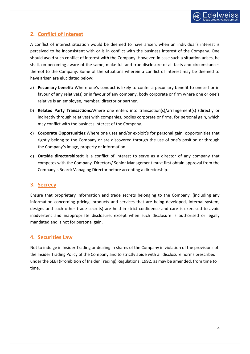

## **2. Conflict of Interest**

A conflict of interest situation would be deemed to have arisen, when an individual's interest is perceived to be inconsistent with or is in conflict with the business interest of the Company. One should avoid such conflict of interest with the Company. However, in case such a situation arises, he shall, on becoming aware of the same, make full and true disclosure of all facts and circumstances thereof to the Company. Some of the situations wherein a conflict of interest may be deemed to have arisen are elucidated below:

- a) **Pecuniary benefit:** Where one's conduct is likely to confer a pecuniary benefit to oneself or in favour of any relative(s) or in favour of any company, body corporate or firm where one or one's relative is an employee, member, director or partner.
- b) **Related Party Transactions:**Where one enters into transaction(s)/arrangement(s) (directly or indirectly through relatives) with companies, bodies corporate or firms, for personal gain, which may conflict with the business interest of the Company.
- c) **Corporate Opportunities:**Where one uses and/or exploit's for personal gain, opportunities that rightly belong to the Company or are discovered through the use of one's position or through the Company's image, property or information.
- d) **Outside directorships:**It is a conflict of interest to serve as a director of any company that competes with the Company. Directors/ Senior Management must first obtain approval from the Company's Board/Managing Director before accepting a directorship.

## **3. Secrecy**

Ensure that proprietary information and trade secrets belonging to the Company, (including any information concerning pricing, products and services that are being developed, internal system, designs and such other trade secrets) are held in strict confidence and care is exercised to avoid inadvertent and inappropriate disclosure, except when such disclosure is authorised or legally mandated and is not for personal gain.

#### **4. Securities Law**

Not to indulge in Insider Trading or dealing in shares of the Company in violation of the provisions of the Insider Trading Policy of the Company and to strictly abide with all disclosure norms prescribed under the SEBI (Prohibition of Insider Trading) Regulations, 1992, as may be amended, from time to time.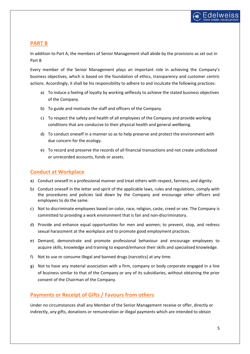

## **PART B**

In addition to Part A, the members of Senior Management shall abide by the provisions as set out in Part B

Every member of the Senior Management plays an important role in achieving the Company's business objectives, which is based on the foundation of ethics, transparency and customer centric actions. Accordingly, it shall be his responsibility to adhere to and inculcate the following practices:

- a) To induce a feeling of loyalty by working selflessly to achieve the stated business objectives of the Company.
- b) To guide and motivate the staff and officers of the Company.
- c) To respect the safety and health of all employees of the Company and provide working conditions that are conducive to their physical health and general wellbeing.
- d) To conduct oneself in a manner so as to help preserve and protect the environment with due concern for the ecology.
- e) To record and preserve the records of all financial transactions and not create undisclosed or unrecorded accounts, funds or assets.

#### **Conduct at Workplace**

- a) Conduct oneself in a professional manner and treat others with respect, fairness, and dignity.
- b) Conduct oneself in the letter and spirit of the applicable laws, rules and regulations, comply with the procedures and policies laid down by the Company and encourage other officers and employees to do the same.
- c) Not to discriminate employees based on color, race, religion, caste, creed or sex. The Company is committed to providing a work environment that is fair and non-discriminatory.
- d) Provide and enhance equal opportunities for men and women; to prevent, stop, and redress sexual harassment at the workplace and to promote good employment practices.
- e) Demand, demonstrate and promote professional behaviour and encourage employees to acquire skills, knowledge and training to expand/enhance their skills and specialised knowledge.
- f) Not to use or consume illegal and banned drugs (narcotics) at any time.
- g) Not to have any material association with a firm, company or body corporate engaged in a line of business similar to that of the Company or any of its subsidiaries, without obtaining the prior consent of the Chairman of the Company.

## **Payments or Receipt of Gifts / Favours from others**

Under no circumstances shall any Member of the Senior Management receive or offer, directly or indirectly, any gifts, donations or remuneration or illegal payments which are intended to obtain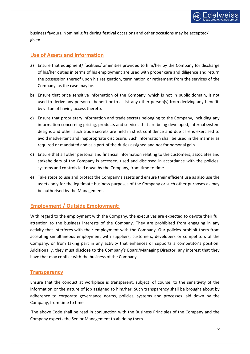

business favours. Nominal gifts during festival occasions and other occasions may be accepted/ given.

# **Use of Assets and Information**

- a) Ensure that equipment/ facilities/ amenities provided to him/her by the Company for discharge of his/her duties in terms of his employment are used with proper care and diligence and return the possession thereof upon his resignation, termination or retirement from the services of the Company, as the case may be.
- b) Ensure that price sensitive information of the Company, which is not in public domain, is not used to derive any persona l benefit or to assist any other person(s) from deriving any benefit, by virtue of having access thereto.
- c) Ensure that proprietary information and trade secrets belonging to the Company, including any information concerning pricing, products and services that are being developed, internal system designs and other such trade secrets are held in strict confidence and due care is exercised to avoid inadvertent and inappropriate disclosure. Such information shall be used in the manner as required or mandated and as a part of the duties assigned and not for personal gain.
- d) Ensure that all other personal and financial information relating to the customers, associates and stakeholders of the Company is accessed, used and disclosed in accordance with the policies, systems and controls laid down by the Company, from time to time.
- e) Take steps to use and protect the Company's assets and ensure their efficient use as also use the assets only for the legitimate business purposes of the Company or such other purposes as may be authorised by the Management.

# **Employment / Outside Employment:**

With regard to the employment with the Company, the executives are expected to devote their full attention to the business interests of the Company. They are prohibited from engaging in any activity that interferes with their employment with the Company. Our policies prohibit them from accepting simultaneous employment with suppliers, customers, developers or competitors of the Company, or from taking part in any activity that enhances or supports a competitor's position. Additionally, they must disclose to the Company's Board/Managing Director, any interest that they have that may conflict with the business of the Company.

## **Transparency**

Ensure that the conduct at workplace is transparent, subject, of course, to the sensitivity of the information or the nature of job assigned to him/her. Such transparency shall be brought about by adherence to corporate governance norms, policies, systems and processes laid down by the Company, from time to time.

The above Code shall be read in conjunction with the Business Principles of the Company and the Company expects the Senior Management to abide by them.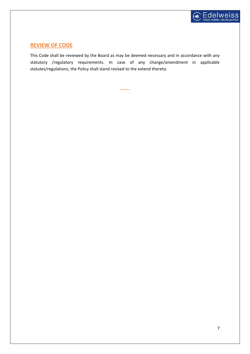

# **REVIEW OF CODE**

This Code shall be reviewed by the Board as may be deemed necessary and in accordance with any statutory /regulatory requirements. In case of any change/amendment in applicable statutes/regulations, the Policy shall stand revised to the extend thereto.

**\_\_\_\_**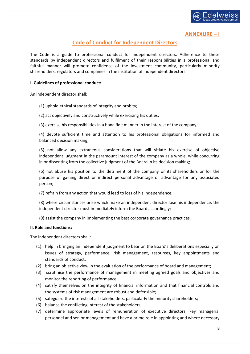

## **ANNEXURE – I**

# **Code of Conduct for Independent Directors**

The Code is a guide to professional conduct for independent directors. Adherence to these standards by independent directors and fulfilment of their responsibilities in a professional and faithful manner will promote confidence of the investment community, particularly minority shareholders, regulators and companies in the institution of independent directors.

#### **I. Guidelines of professional conduct:**

An independent director shall:

#### (1) uphold ethical standards of integrity and probity;

- (2) act objectively and constructively while exercising his duties;
- (3) exercise his responsibilities in a bona fide manner in the interest of the company;

(4) devote sufficient time and attention to his professional obligations for informed and balanced decision making;

(5) not allow any extraneous considerations that will vitiate his exercise of objective independent judgment in the paramount interest of the company as a whole, while concurring in or dissenting from the collective judgment of the Board in its decision making;

(6) not abuse his position to the detriment of the company or its shareholders or for the purpose of gaining direct or indirect personal advantage or advantage for any associated person;

(7) refrain from any action that would lead to loss of his independence;

(8) where circumstances arise which make an independent director lose his independence, the independent director must immediately inform the Board accordingly;

(9) assist the company in implementing the best corporate governance practices.

#### **II. Role and functions:**

The independent directors shall:

- (1) help in bringing an independent judgment to bear on the Board's deliberations especially on issues of strategy, performance, risk management, resources, key appointments and standards of conduct;
- (2) bring an objective view in the evaluation of the performance of board and management;
- (3) scrutinise the performance of management in meeting agreed goals and objectives and monitor the reporting of performance;
- (4) satisfy themselves on the integrity of financial information and that financial controls and the systems of risk management are robust and defensible;
- (5) safeguard the interests of all stakeholders, particularly the minority shareholders;
- (6) balance the conflicting interest of the stakeholders;
- (7) determine appropriate levels of remuneration of executive directors, key managerial personnel and senior management and have a prime role in appointing and where necessary